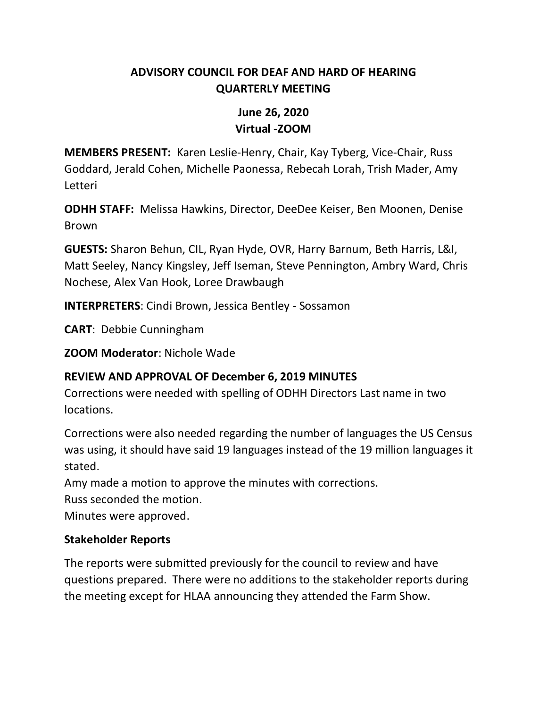## **ADVISORY COUNCIL FOR DEAF AND HARD OF HEARING QUARTERLY MEETING**

# **June 26, 2020 Virtual -ZOOM**

**MEMBERS PRESENT:** Karen Leslie-Henry, Chair, Kay Tyberg, Vice-Chair, Russ Goddard, Jerald Cohen, Michelle Paonessa, Rebecah Lorah, Trish Mader, Amy Letteri

**ODHH STAFF:** Melissa Hawkins, Director, DeeDee Keiser, Ben Moonen, Denise Brown

**GUESTS:** Sharon Behun, CIL, Ryan Hyde, OVR, Harry Barnum, Beth Harris, L&I, Matt Seeley, Nancy Kingsley, Jeff Iseman, Steve Pennington, Ambry Ward, Chris Nochese, Alex Van Hook, Loree Drawbaugh

**INTERPRETERS**: Cindi Brown, Jessica Bentley - Sossamon

**CART**: Debbie Cunningham

**ZOOM Moderator**: Nichole Wade

### **REVIEW AND APPROVAL OF December 6, 2019 MINUTES**

Corrections were needed with spelling of ODHH Directors Last name in two locations.

Corrections were also needed regarding the number of languages the US Census was using, it should have said 19 languages instead of the 19 million languages it stated.

Amy made a motion to approve the minutes with corrections.

Russ seconded the motion.

Minutes were approved.

### **Stakeholder Reports**

The reports were submitted previously for the council to review and have questions prepared. There were no additions to the stakeholder reports during the meeting except for HLAA announcing they attended the Farm Show.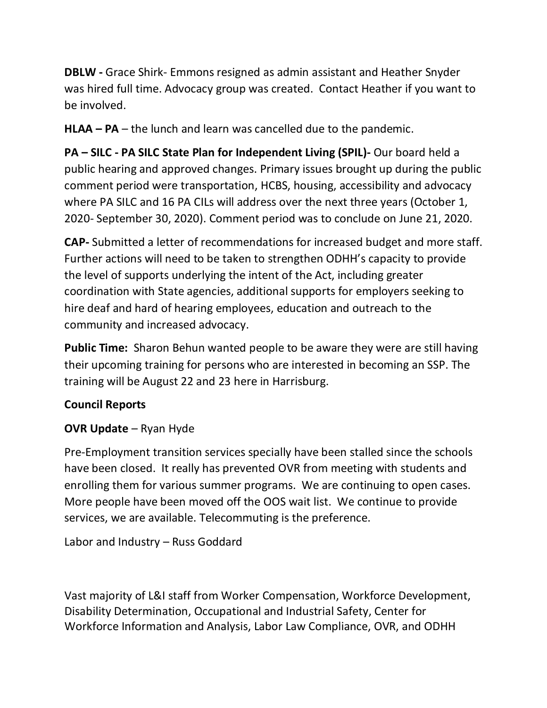**DBLW -** Grace Shirk- Emmons resigned as admin assistant and Heather Snyder was hired full time. Advocacy group was created. Contact Heather if you want to be involved.

**HLAA – PA** – the lunch and learn was cancelled due to the pandemic.

**PA – SILC - PA SILC State Plan for Independent Living (SPIL)-** Our board held a public hearing and approved changes. Primary issues brought up during the public comment period were transportation, HCBS, housing, accessibility and advocacy where PA SILC and 16 PA CILs will address over the next three years (October 1, 2020- September 30, 2020). Comment period was to conclude on June 21, 2020.

**CAP-** Submitted a letter of recommendations for increased budget and more staff. Further actions will need to be taken to strengthen ODHH's capacity to provide the level of supports underlying the intent of the Act, including greater coordination with State agencies, additional supports for employers seeking to hire deaf and hard of hearing employees, education and outreach to the community and increased advocacy.

**Public Time:** Sharon Behun wanted people to be aware they were are still having their upcoming training for persons who are interested in becoming an SSP. The training will be August 22 and 23 here in Harrisburg.

## **Council Reports**

### **OVR Update** – Ryan Hyde

Pre-Employment transition services specially have been stalled since the schools have been closed. It really has prevented OVR from meeting with students and enrolling them for various summer programs. We are continuing to open cases. More people have been moved off the OOS wait list. We continue to provide services, we are available. Telecommuting is the preference.

Labor and Industry – Russ Goddard

Vast majority of L&I staff from Worker Compensation, Workforce Development, Disability Determination, Occupational and Industrial Safety, Center for Workforce Information and Analysis, Labor Law Compliance, OVR, and ODHH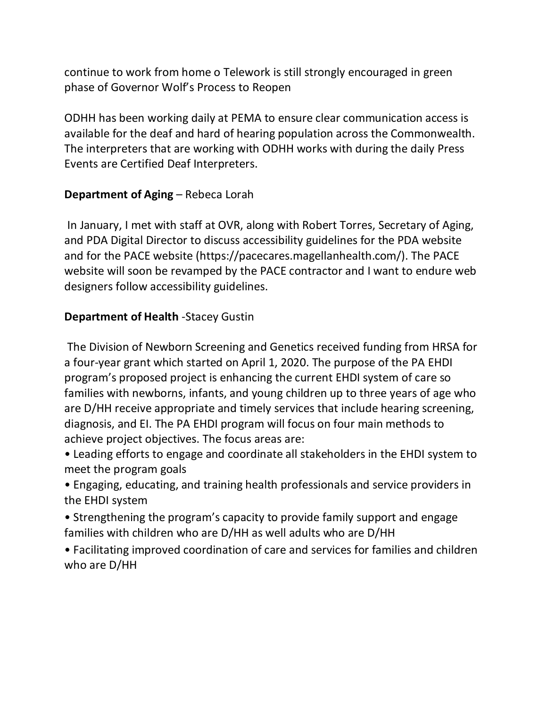continue to work from home o Telework is still strongly encouraged in green phase of Governor Wolf's Process to Reopen

ODHH has been working daily at PEMA to ensure clear communication access is available for the deaf and hard of hearing population across the Commonwealth. The interpreters that are working with ODHH works with during the daily Press Events are Certified Deaf Interpreters.

#### **Department of Aging** – Rebeca Lorah

In January, I met with staff at OVR, along with Robert Torres, Secretary of Aging, and PDA Digital Director to discuss accessibility guidelines for the PDA website and for the PACE website (https://pacecares.magellanhealth.com/). The PACE website will soon be revamped by the PACE contractor and I want to endure web designers follow accessibility guidelines.

#### **Department of Health** -Stacey Gustin

The Division of Newborn Screening and Genetics received funding from HRSA for a four-year grant which started on April 1, 2020. The purpose of the PA EHDI program's proposed project is enhancing the current EHDI system of care so families with newborns, infants, and young children up to three years of age who are D/HH receive appropriate and timely services that include hearing screening, diagnosis, and EI. The PA EHDI program will focus on four main methods to achieve project objectives. The focus areas are:

- Leading efforts to engage and coordinate all stakeholders in the EHDI system to meet the program goals
- Engaging, educating, and training health professionals and service providers in the EHDI system
- Strengthening the program's capacity to provide family support and engage families with children who are D/HH as well adults who are D/HH
- Facilitating improved coordination of care and services for families and children who are D/HH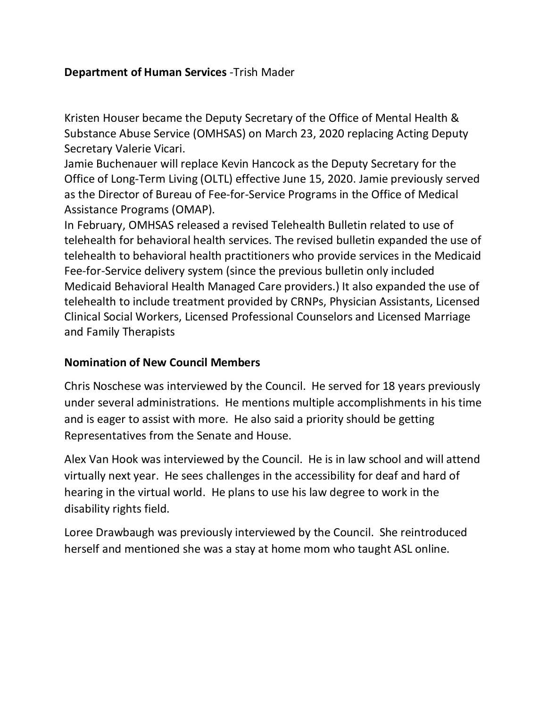## **Department of Human Services** -Trish Mader

Kristen Houser became the Deputy Secretary of the Office of Mental Health & Substance Abuse Service (OMHSAS) on March 23, 2020 replacing Acting Deputy Secretary Valerie Vicari.

Jamie Buchenauer will replace Kevin Hancock as the Deputy Secretary for the Office of Long-Term Living (OLTL) effective June 15, 2020. Jamie previously served as the Director of Bureau of Fee-for-Service Programs in the Office of Medical Assistance Programs (OMAP).

In February, OMHSAS released a revised Telehealth Bulletin related to use of telehealth for behavioral health services. The revised bulletin expanded the use of telehealth to behavioral health practitioners who provide services in the Medicaid Fee-for-Service delivery system (since the previous bulletin only included Medicaid Behavioral Health Managed Care providers.) It also expanded the use of telehealth to include treatment provided by CRNPs, Physician Assistants, Licensed Clinical Social Workers, Licensed Professional Counselors and Licensed Marriage and Family Therapists

#### **Nomination of New Council Members**

Chris Noschese was interviewed by the Council. He served for 18 years previously under several administrations. He mentions multiple accomplishments in his time and is eager to assist with more. He also said a priority should be getting Representatives from the Senate and House.

Alex Van Hook was interviewed by the Council. He is in law school and will attend virtually next year. He sees challenges in the accessibility for deaf and hard of hearing in the virtual world. He plans to use his law degree to work in the disability rights field.

Loree Drawbaugh was previously interviewed by the Council. She reintroduced herself and mentioned she was a stay at home mom who taught ASL online.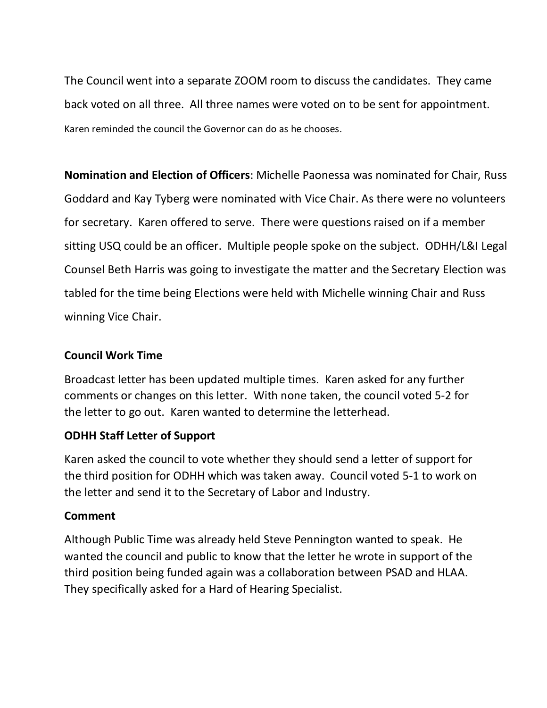The Council went into a separate ZOOM room to discuss the candidates. They came back voted on all three. All three names were voted on to be sent for appointment. Karen reminded the council the Governor can do as he chooses.

**Nomination and Election of Officers**: Michelle Paonessa was nominated for Chair, Russ Goddard and Kay Tyberg were nominated with Vice Chair. As there were no volunteers for secretary. Karen offered to serve. There were questions raised on if a member sitting USQ could be an officer. Multiple people spoke on the subject. ODHH/L&I Legal Counsel Beth Harris was going to investigate the matter and the Secretary Election was tabled for the time being Elections were held with Michelle winning Chair and Russ winning Vice Chair.

### **Council Work Time**

Broadcast letter has been updated multiple times. Karen asked for any further comments or changes on this letter. With none taken, the council voted 5-2 for the letter to go out. Karen wanted to determine the letterhead.

#### **ODHH Staff Letter of Support**

Karen asked the council to vote whether they should send a letter of support for the third position for ODHH which was taken away. Council voted 5-1 to work on the letter and send it to the Secretary of Labor and Industry.

#### **Comment**

Although Public Time was already held Steve Pennington wanted to speak. He wanted the council and public to know that the letter he wrote in support of the third position being funded again was a collaboration between PSAD and HLAA. They specifically asked for a Hard of Hearing Specialist.